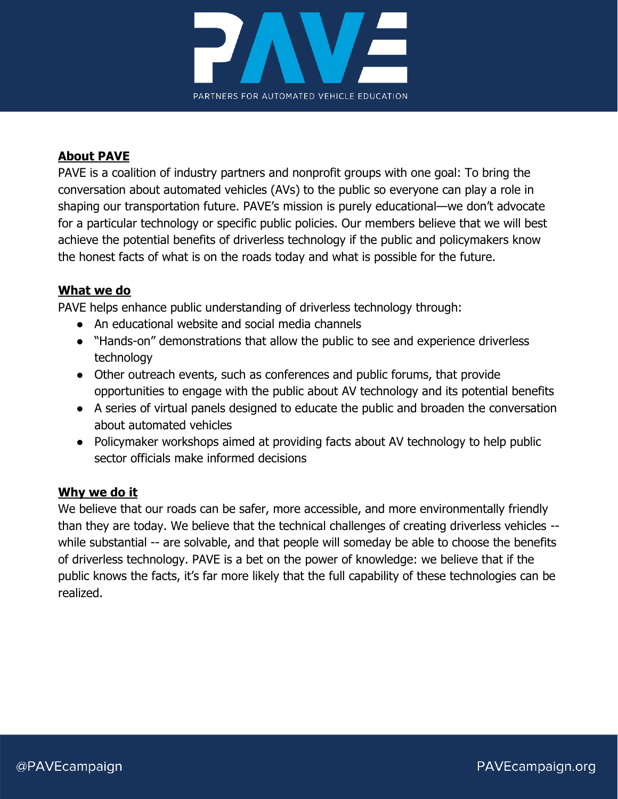

## **About PAVE**

PAVE is a coalition of industry partners and nonprofit groups with one goal: To bring the conversation about automated vehicles (AVs) to the public so everyone can play a role in shaping our transportation future. PAVE's mission is purely educational—we don't advocate for a particular technology or specific public policies. Our members believe that we will best achieve the potential benefits of driverless technology if the public and policymakers know the honest facts of what is on the roads today and what is possible for the future.

## **What we do**

PAVE helps enhance public understanding of driverless technology through:

- An educational website and social media channels
- "Hands-on" demonstrations that allow the public to see and experience driverless technology
- Other outreach events, such as conferences and public forums, that provide opportunities to engage with the public about AV technology and its potential benefits
- A series of virtual panels designed to educate the public and broaden the conversation about automated vehicles
- Policymaker workshops aimed at providing facts about AV technology to help public sector officials make informed decisions

## **Why we do it**

We believe that our roads can be safer, more accessible, and more environmentally friendly than they are today. We believe that the technical challenges of creating driverless vehicles - while substantial -- are solvable, and that people will someday be able to choose the benefits of driverless technology. PAVE is a bet on the power of knowledge: we believe that if the public knows the facts, it's far more likely that the full capability of these technologies can be realized.